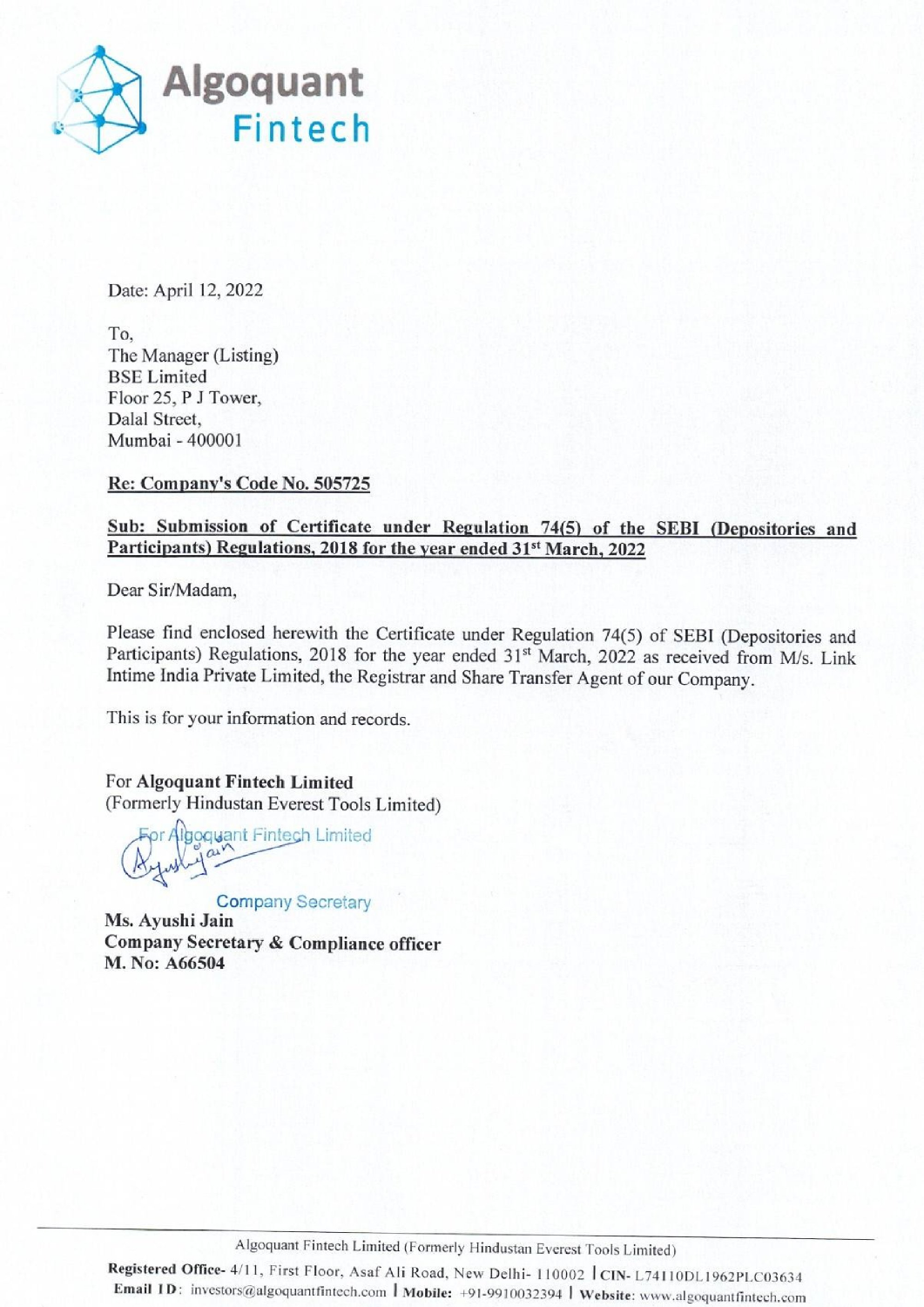

Date: April 12, 2022

To, The Manager (Listing) BSE Limited Floor 25, P J Tower, Dalal Street, Mumbai - 400001

Re: Company's Code No. 505725

## Sub: Submission of Certificate under Regulation 74(5) of the SEBI (Depositories and Participants) Regulations, 2018 for the year ended 31<sup>st</sup> March, 2022

Dear Sir/Madam,

Dear Sir/Madam,<br>
Please find enclosed herewith the Certificate un<br>
Participants) Regulations, 2018 for the year end<br>
Intime India Private Limited, the Registrar and Sh<br>
This is for your information and records.<br>
For Algoqu Please find enclosed herewith the Certificate under Regulation 74(5) of SEBI (Depositories and Participants) Regulations, 2018 for the year ended 31<sup>st</sup> March, 2022 as received from M/s. Link Intime India Private Limited, Dalal Street,<br>
Mumbai - 400001<br>
Re: Commany's Code No. 505725<br>
Sub: Submission of Certificate under Regulation 74(5) of the SE<br>
Participants) Regulations, 2018 for the vear ended 31<sup>at</sup> March, 2022<br>
Dear Sir/Madam,<br>
Pleas

This is for your information and records.

For Algoquant Fintech Limited (Formerly Hindustan Everest Tools Limited) goquant Fintech Limited<br>rly Hindustan Everest Tools<br>r Algoquant Fintech Limited

Company Secretary

Ms. Ayushi Jain Company Secretary & Compliance officer M. No: A66504

Registered Office- 4/11, First Floor, Asaf Ali Road, New Delhi- 110002 | CIN- L74110DL1962PLC03634 Email ID: investors@algoquantfintech.com | Mobile: +91-9910032394 | Website: www.algoquantfintech.com